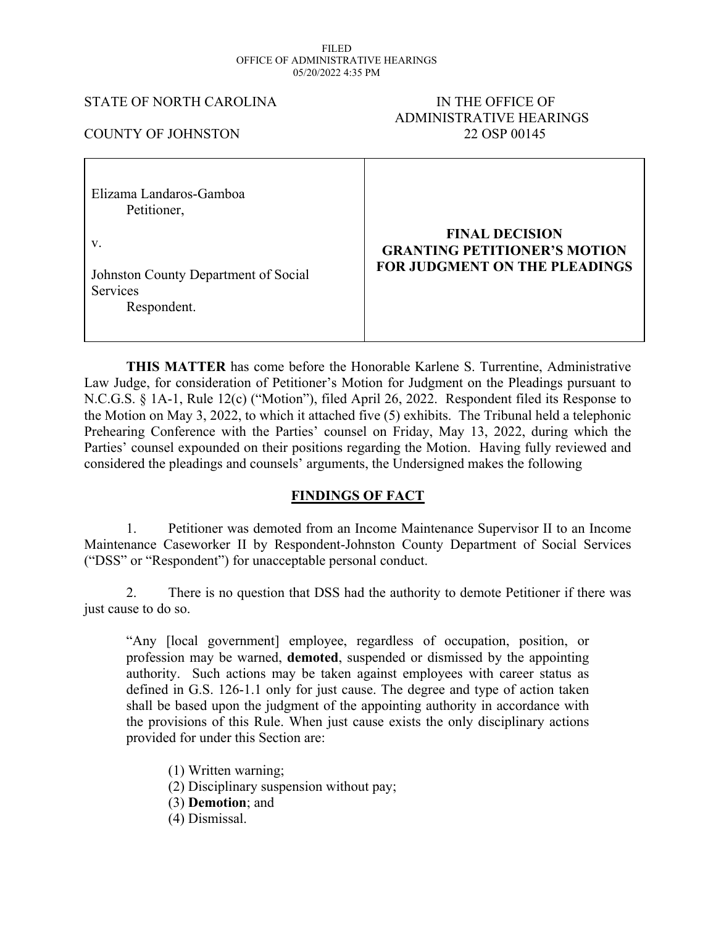#### FILED OFFICE OF ADMINISTRATIVE HEARINGS 05/20/2022 4:35 PM

### STATE OF NORTH CAROLINA IN THE OFFICE OF

# ADMINISTRATIVE HEARINGS COUNTY OF JOHNSTON 22 OSP 00145

| Elizama Landaros-Gamboa<br>Petitioner,                                       |                                                                                                      |
|------------------------------------------------------------------------------|------------------------------------------------------------------------------------------------------|
| V.<br>Johnston County Department of Social<br><b>Services</b><br>Respondent. | <b>FINAL DECISION</b><br><b>GRANTING PETITIONER'S MOTION</b><br><b>FOR JUDGMENT ON THE PLEADINGS</b> |

 $\mathbf{I}$ 

**THIS MATTER** has come before the Honorable Karlene S. Turrentine, Administrative Law Judge, for consideration of Petitioner's Motion for Judgment on the Pleadings pursuant to N.C.G.S. § 1A-1, Rule 12(c) ("Motion"), filed April 26, 2022. Respondent filed its Response to the Motion on May 3, 2022, to which it attached five (5) exhibits. The Tribunal held a telephonic Prehearing Conference with the Parties' counsel on Friday, May 13, 2022, during which the Parties' counsel expounded on their positions regarding the Motion. Having fully reviewed and considered the pleadings and counsels' arguments, the Undersigned makes the following

## **FINDINGS OF FACT**

1. Petitioner was demoted from an Income Maintenance Supervisor II to an Income Maintenance Caseworker II by Respondent-Johnston County Department of Social Services ("DSS" or "Respondent") for unacceptable personal conduct.

2. There is no question that DSS had the authority to demote Petitioner if there was just cause to do so.

"Any [local government] employee, regardless of occupation, position, or profession may be warned, **demoted**, suspended or dismissed by the appointing authority. Such actions may be taken against employees with career status as defined in G.S. 126-1.1 only for just cause. The degree and type of action taken shall be based upon the judgment of the appointing authority in accordance with the provisions of this Rule. When just cause exists the only disciplinary actions provided for under this Section are:

(1) Written warning; (2) Disciplinary suspension without pay; (3) **Demotion**; and (4) Dismissal.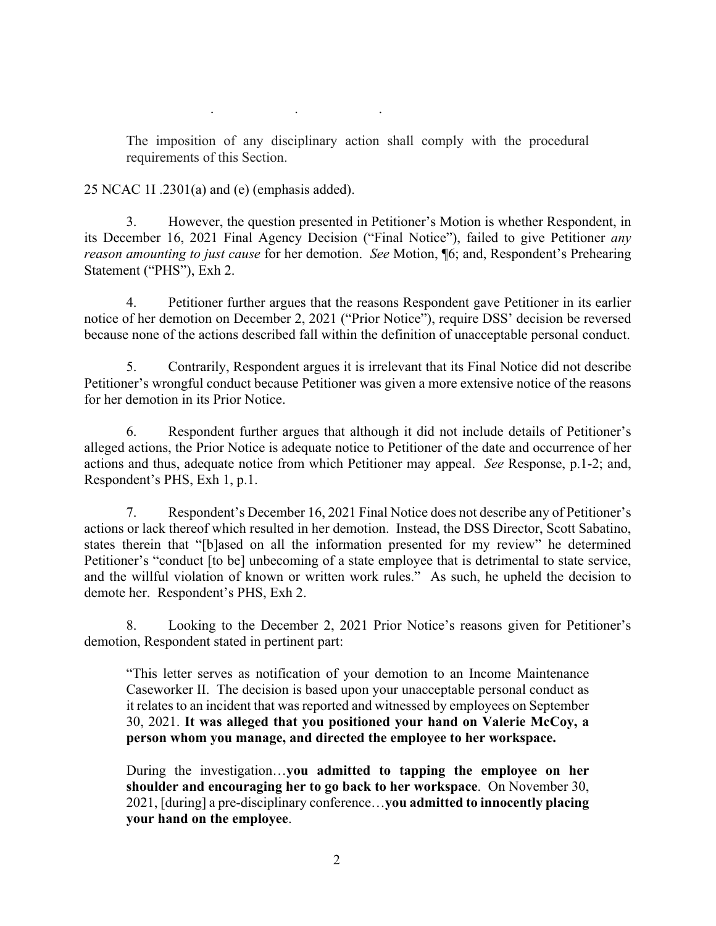The imposition of any disciplinary action shall comply with the procedural requirements of this Section.

. . .

25 NCAC 1I .2301(a) and (e) (emphasis added).

3. However, the question presented in Petitioner's Motion is whether Respondent, in its December 16, 2021 Final Agency Decision ("Final Notice"), failed to give Petitioner *any reason amounting to just cause* for her demotion. *See* Motion, ¶6; and, Respondent's Prehearing Statement ("PHS"), Exh 2.

4. Petitioner further argues that the reasons Respondent gave Petitioner in its earlier notice of her demotion on December 2, 2021 ("Prior Notice"), require DSS' decision be reversed because none of the actions described fall within the definition of unacceptable personal conduct.

5. Contrarily, Respondent argues it is irrelevant that its Final Notice did not describe Petitioner's wrongful conduct because Petitioner was given a more extensive notice of the reasons for her demotion in its Prior Notice.

6. Respondent further argues that although it did not include details of Petitioner's alleged actions, the Prior Notice is adequate notice to Petitioner of the date and occurrence of her actions and thus, adequate notice from which Petitioner may appeal. *See* Response, p.1-2; and, Respondent's PHS, Exh 1, p.1.

7. Respondent's December 16, 2021 Final Notice does not describe any of Petitioner's actions or lack thereof which resulted in her demotion. Instead, the DSS Director, Scott Sabatino, states therein that "[b]ased on all the information presented for my review" he determined Petitioner's "conduct [to be] unbecoming of a state employee that is detrimental to state service, and the willful violation of known or written work rules." As such, he upheld the decision to demote her. Respondent's PHS, Exh 2.

8. Looking to the December 2, 2021 Prior Notice's reasons given for Petitioner's demotion, Respondent stated in pertinent part:

"This letter serves as notification of your demotion to an Income Maintenance Caseworker II. The decision is based upon your unacceptable personal conduct as it relates to an incident that was reported and witnessed by employees on September 30, 2021. **It was alleged that you positioned your hand on Valerie McCoy, a person whom you manage, and directed the employee to her workspace.**

During the investigation…**you admitted to tapping the employee on her shoulder and encouraging her to go back to her workspace**. On November 30, 2021, [during] a pre-disciplinary conference…**you admitted to innocently placing your hand on the employee**.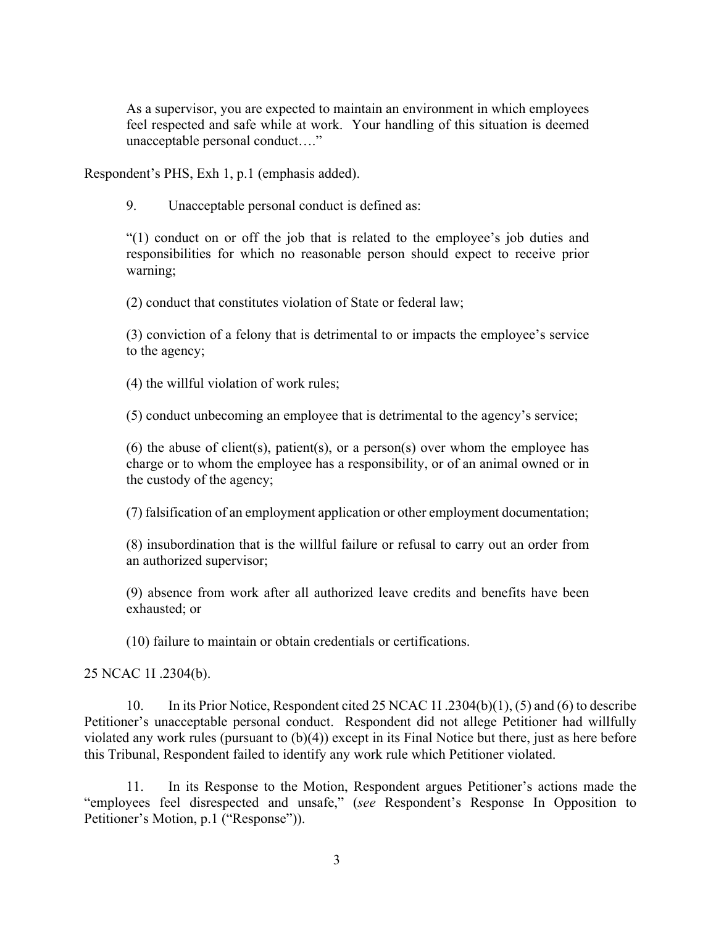As a supervisor, you are expected to maintain an environment in which employees feel respected and safe while at work. Your handling of this situation is deemed unacceptable personal conduct…."

Respondent's PHS, Exh 1, p.1 (emphasis added).

9. Unacceptable personal conduct is defined as:

"(1) conduct on or off the job that is related to the employee's job duties and responsibilities for which no reasonable person should expect to receive prior warning;

(2) conduct that constitutes violation of State or federal law;

(3) conviction of a felony that is detrimental to or impacts the employee's service to the agency;

(4) the willful violation of work rules;

(5) conduct unbecoming an employee that is detrimental to the agency's service;

(6) the abuse of client(s), patient(s), or a person(s) over whom the employee has charge or to whom the employee has a responsibility, or of an animal owned or in the custody of the agency;

(7) falsification of an employment application or other employment documentation;

(8) insubordination that is the willful failure or refusal to carry out an order from an authorized supervisor;

(9) absence from work after all authorized leave credits and benefits have been exhausted; or

(10) failure to maintain or obtain credentials or certifications.

25 NCAC 1I .2304(b).

10. In its Prior Notice, Respondent cited 25 NCAC 1I .2304(b)(1), (5) and (6) to describe Petitioner's unacceptable personal conduct. Respondent did not allege Petitioner had willfully violated any work rules (pursuant to (b)(4)) except in its Final Notice but there, just as here before this Tribunal, Respondent failed to identify any work rule which Petitioner violated.

11. In its Response to the Motion, Respondent argues Petitioner's actions made the "employees feel disrespected and unsafe," (*see* Respondent's Response In Opposition to Petitioner's Motion, p.1 ("Response")).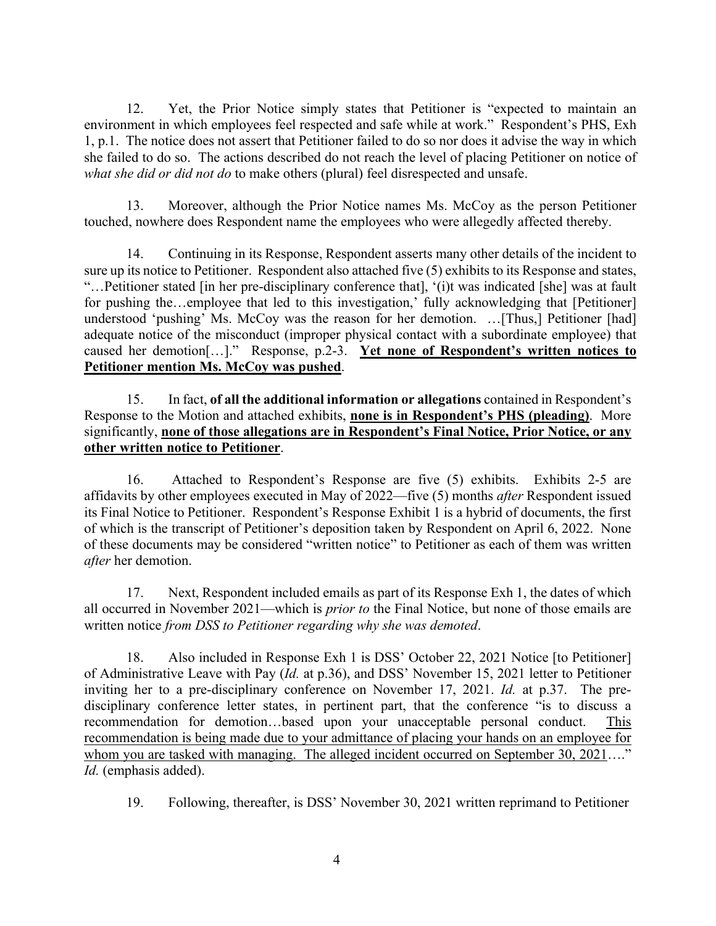12. Yet, the Prior Notice simply states that Petitioner is "expected to maintain an environment in which employees feel respected and safe while at work." Respondent's PHS, Exh 1, p.1. The notice does not assert that Petitioner failed to do so nor does it advise the way in which she failed to do so. The actions described do not reach the level of placing Petitioner on notice of *what she did or did not do* to make others (plural) feel disrespected and unsafe.

13. Moreover, although the Prior Notice names Ms. McCoy as the person Petitioner touched, nowhere does Respondent name the employees who were allegedly affected thereby.

14. Continuing in its Response, Respondent asserts many other details of the incident to sure up its notice to Petitioner. Respondent also attached five (5) exhibits to its Response and states, "…Petitioner stated [in her pre-disciplinary conference that], '(i)t was indicated [she] was at fault for pushing the…employee that led to this investigation,' fully acknowledging that [Petitioner] understood 'pushing' Ms. McCoy was the reason for her demotion. …[Thus,] Petitioner [had] adequate notice of the misconduct (improper physical contact with a subordinate employee) that caused her demotion[…]." Response, p.2-3. **Yet none of Respondent's written notices to Petitioner mention Ms. McCoy was pushed**.

15. In fact, **of all the additional information or allegations** contained in Respondent's Response to the Motion and attached exhibits, **none is in Respondent's PHS (pleading)**. More significantly, **none of those allegations are in Respondent's Final Notice, Prior Notice, or any other written notice to Petitioner**.

16. Attached to Respondent's Response are five (5) exhibits. Exhibits 2-5 are affidavits by other employees executed in May of 2022—five (5) months *after* Respondent issued its Final Notice to Petitioner. Respondent's Response Exhibit 1 is a hybrid of documents, the first of which is the transcript of Petitioner's deposition taken by Respondent on April 6, 2022. None of these documents may be considered "written notice" to Petitioner as each of them was written *after* her demotion.

17. Next, Respondent included emails as part of its Response Exh 1, the dates of which all occurred in November 2021—which is *prior to* the Final Notice, but none of those emails are written notice *from DSS to Petitioner regarding why she was demoted*.

18. Also included in Response Exh 1 is DSS' October 22, 2021 Notice [to Petitioner] of Administrative Leave with Pay (*Id.* at p.36), and DSS' November 15, 2021 letter to Petitioner inviting her to a pre-disciplinary conference on November 17, 2021. *Id.* at p.37. The predisciplinary conference letter states, in pertinent part, that the conference "is to discuss a recommendation for demotion…based upon your unacceptable personal conduct. This recommendation is being made due to your admittance of placing your hands on an employee for whom you are tasked with managing. The alleged incident occurred on September 30, 2021...." *Id.* (emphasis added).

19. Following, thereafter, is DSS' November 30, 2021 written reprimand to Petitioner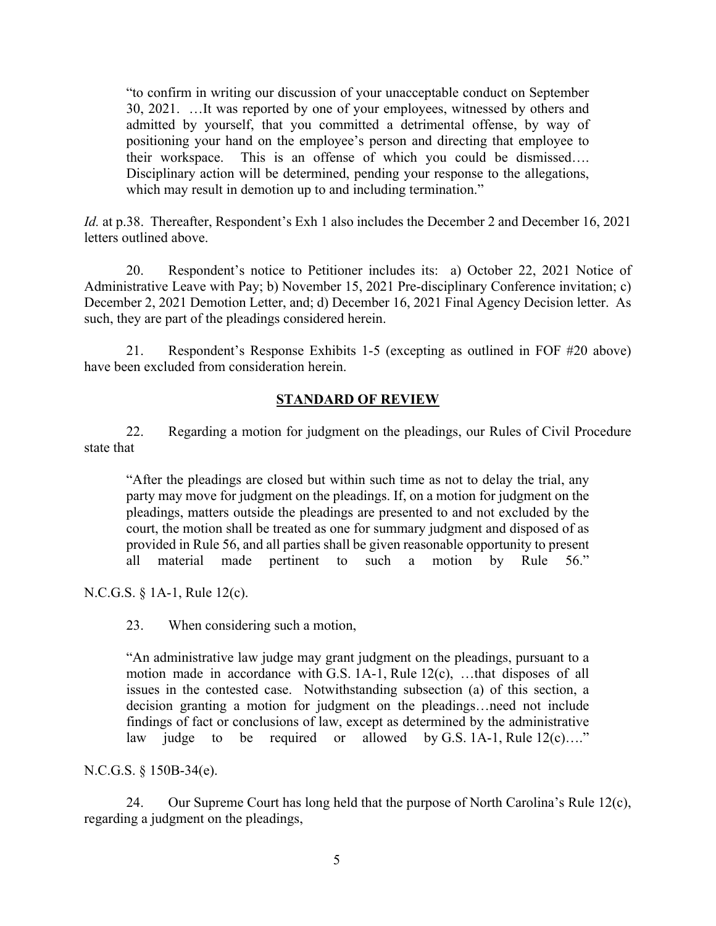"to confirm in writing our discussion of your unacceptable conduct on September 30, 2021. …It was reported by one of your employees, witnessed by others and admitted by yourself, that you committed a detrimental offense, by way of positioning your hand on the employee's person and directing that employee to their workspace. This is an offense of which you could be dismissed…. Disciplinary action will be determined, pending your response to the allegations, which may result in demotion up to and including termination."

*Id.* at p.38. Thereafter, Respondent's Exh 1 also includes the December 2 and December 16, 2021 letters outlined above.

20. Respondent's notice to Petitioner includes its: a) October 22, 2021 Notice of Administrative Leave with Pay; b) November 15, 2021 Pre-disciplinary Conference invitation; c) December 2, 2021 Demotion Letter, and; d) December 16, 2021 Final Agency Decision letter. As such, they are part of the pleadings considered herein.

21. Respondent's Response Exhibits 1-5 (excepting as outlined in FOF #20 above) have been excluded from consideration herein.

## **STANDARD OF REVIEW**

22. Regarding a motion for judgment on the pleadings, our Rules of Civil Procedure state that

"After the pleadings are closed but within such time as not to delay the trial, any party may move for judgment on the pleadings. If, on a motion for judgment on the pleadings, matters outside the pleadings are presented to and not excluded by the court, the motion shall be treated as one for summary judgment and disposed of as provided in Rule 56, and all parties shall be given reasonable opportunity to present all material made pertinent to such a motion by Rule 56."

N.C.G.S. § 1A-1, Rule 12(c).

23. When considering such a motion,

"An administrative law judge may grant judgment on the pleadings, pursuant to a motion made in accordance with G.S. 1A-1, Rule 12(c), ...that disposes of all issues in the contested case. Notwithstanding subsection (a) of this section, a decision granting a motion for judgment on the pleadings…need not include findings of fact or conclusions of law, except as determined by the administrative law judge to be required or allowed by G.S. 1A-1, Rule  $12(c)...$ "

N.C.G.S. § 150B-34(e).

24. Our Supreme Court has long held that the purpose of North Carolina's Rule 12(c), regarding a judgment on the pleadings,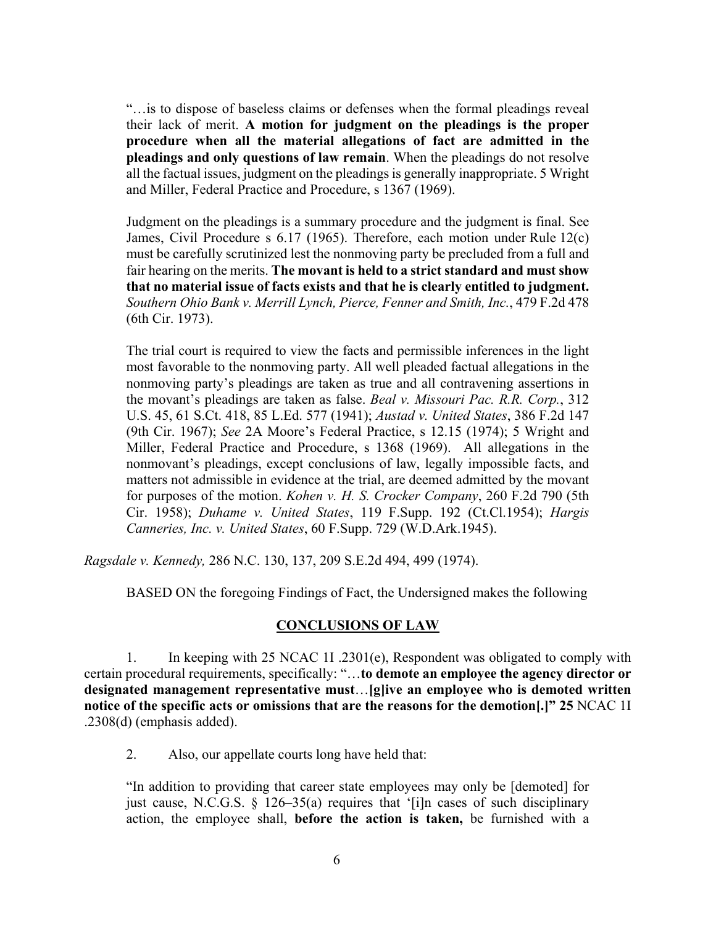"…is to dispose of baseless claims or defenses when the formal pleadings reveal their lack of merit. **A motion for judgment on the pleadings is the proper procedure when all the material allegations of fact are admitted in the pleadings and only questions of law remain**. When the pleadings do not resolve all the factual issues, judgment on the pleadings is generally inappropriate. 5 Wright and Miller, Federal Practice and Procedure, s 1367 (1969).

Judgment on the pleadings is a summary procedure and the judgment is final. See James, Civil Procedure s 6.17 (1965). Therefore, each motion under Rule 12(c) must be carefully scrutinized lest the nonmoving party be precluded from a full and fair hearing on the merits. **The movant is held to a strict standard and must show that no material issue of facts exists and that he is clearly entitled to judgment.** *Southern Ohio Bank v. Merrill Lynch, Pierce, Fenner and Smith, Inc.*, 479 F.2d 478 (6th Cir. 1973).

The trial court is required to view the facts and permissible inferences in the light most favorable to the nonmoving party. All well pleaded factual allegations in the nonmoving party's pleadings are taken as true and all contravening assertions in the movant's pleadings are taken as false. *Beal v. Missouri Pac. R.R. Corp.*, 312 U.S. 45, 61 S.Ct. 418, 85 L.Ed. 577 (1941); *Austad v. United States*, 386 F.2d 147 (9th Cir. 1967); *See* 2A Moore's Federal Practice, s 12.15 (1974); 5 Wright and Miller, Federal Practice and Procedure, s 1368 (1969). All allegations in the nonmovant's pleadings, except conclusions of law, legally impossible facts, and matters not admissible in evidence at the trial, are deemed admitted by the movant for purposes of the motion. *Kohen v. H. S. Crocker Company*, 260 F.2d 790 (5th Cir. 1958); *Duhame v. United States*, 119 F.Supp. 192 (Ct.Cl.1954); *Hargis Canneries, Inc. v. United States*, 60 F.Supp. 729 (W.D.Ark.1945).

*Ragsdale v. Kennedy,* 286 N.C. 130, 137, 209 S.E.2d 494, 499 (1974).

BASED ON the foregoing Findings of Fact, the Undersigned makes the following

## **CONCLUSIONS OF LAW**

1. In keeping with 25 NCAC 1I .2301(e), Respondent was obligated to comply with certain procedural requirements, specifically: "…**to demote an employee the agency director or designated management representative must**…**[g]ive an employee who is demoted written notice of the specific acts or omissions that are the reasons for the demotion[.]" 25** NCAC 1I .2308(d) (emphasis added).

2. Also, our appellate courts long have held that:

"In addition to providing that career state employees may only be [demoted] for just cause, N.C.G.S. § 126–35(a) requires that '[i]n cases of such disciplinary action, the employee shall, **before the action is taken,** be furnished with a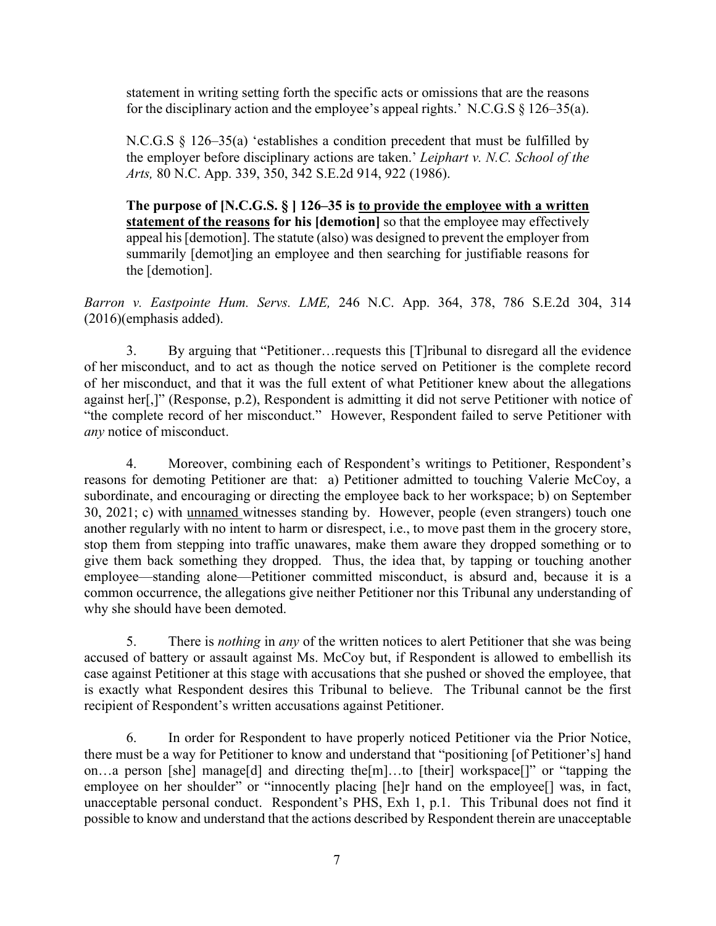statement in writing setting forth the specific acts or omissions that are the reasons for the disciplinary action and the employee's appeal rights.' N.C.G.S § 126–35(a).

N.C.G.S § 126–35(a) 'establishes a condition precedent that must be fulfilled by the employer before disciplinary actions are taken.' *Leiphart v. N.C. School of the Arts,* 80 N.C. App. 339, 350, 342 S.E.2d 914, 922 (1986).

**The purpose of [N.C.G.S. § ] 126–35 is to provide the employee with a written statement of the reasons for his [demotion]** so that the employee may effectively appeal his [demotion]. The statute (also) was designed to prevent the employer from summarily [demot]ing an employee and then searching for justifiable reasons for the [demotion].

*Barron v. Eastpointe Hum. Servs. LME,* 246 N.C. App. 364, 378, 786 S.E.2d 304, 314 (2016)(emphasis added).

3. By arguing that "Petitioner…requests this [T]ribunal to disregard all the evidence of her misconduct, and to act as though the notice served on Petitioner is the complete record of her misconduct, and that it was the full extent of what Petitioner knew about the allegations against her[,]" (Response, p.2), Respondent is admitting it did not serve Petitioner with notice of "the complete record of her misconduct." However, Respondent failed to serve Petitioner with *any* notice of misconduct.

4. Moreover, combining each of Respondent's writings to Petitioner, Respondent's reasons for demoting Petitioner are that: a) Petitioner admitted to touching Valerie McCoy, a subordinate, and encouraging or directing the employee back to her workspace; b) on September 30, 2021; c) with unnamed witnesses standing by. However, people (even strangers) touch one another regularly with no intent to harm or disrespect, i.e., to move past them in the grocery store, stop them from stepping into traffic unawares, make them aware they dropped something or to give them back something they dropped. Thus, the idea that, by tapping or touching another employee—standing alone—Petitioner committed misconduct, is absurd and, because it is a common occurrence, the allegations give neither Petitioner nor this Tribunal any understanding of why she should have been demoted.

5. There is *nothing* in *any* of the written notices to alert Petitioner that she was being accused of battery or assault against Ms. McCoy but, if Respondent is allowed to embellish its case against Petitioner at this stage with accusations that she pushed or shoved the employee, that is exactly what Respondent desires this Tribunal to believe. The Tribunal cannot be the first recipient of Respondent's written accusations against Petitioner.

6. In order for Respondent to have properly noticed Petitioner via the Prior Notice, there must be a way for Petitioner to know and understand that "positioning [of Petitioner's] hand on…a person [she] manage[d] and directing the[m]…to [their] workspace[]" or "tapping the employee on her shoulder" or "innocently placing [he]r hand on the employee<sup>[]</sup> was, in fact, unacceptable personal conduct. Respondent's PHS, Exh 1, p.1. This Tribunal does not find it possible to know and understand that the actions described by Respondent therein are unacceptable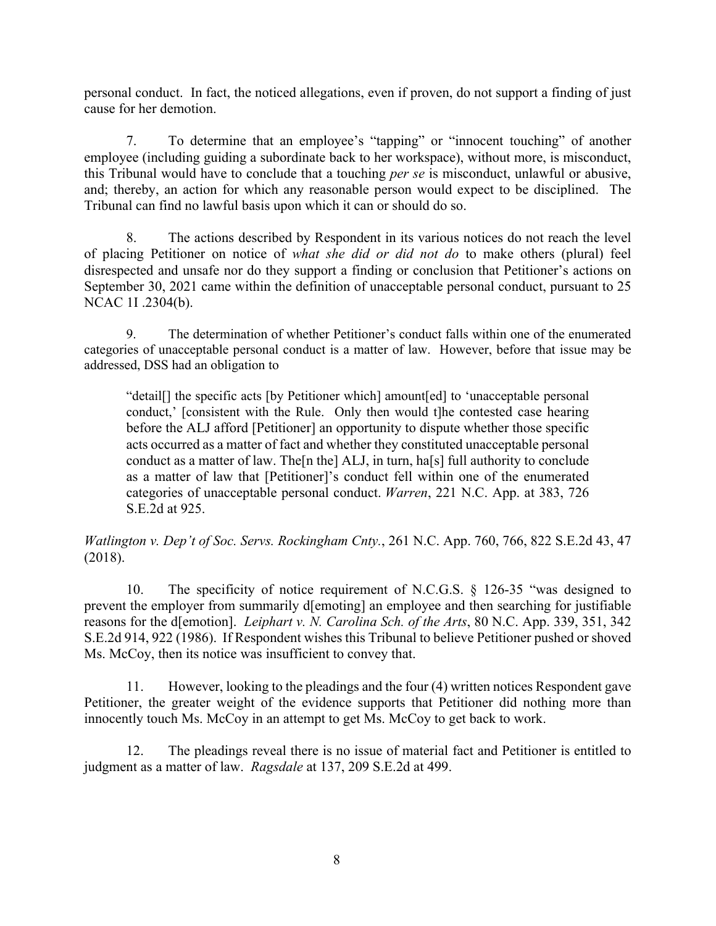personal conduct. In fact, the noticed allegations, even if proven, do not support a finding of just cause for her demotion.

7. To determine that an employee's "tapping" or "innocent touching" of another employee (including guiding a subordinate back to her workspace), without more, is misconduct, this Tribunal would have to conclude that a touching *per se* is misconduct, unlawful or abusive, and; thereby, an action for which any reasonable person would expect to be disciplined. The Tribunal can find no lawful basis upon which it can or should do so.

8. The actions described by Respondent in its various notices do not reach the level of placing Petitioner on notice of *what she did or did not do* to make others (plural) feel disrespected and unsafe nor do they support a finding or conclusion that Petitioner's actions on September 30, 2021 came within the definition of unacceptable personal conduct, pursuant to 25 NCAC 1I .2304(b).

9. The determination of whether Petitioner's conduct falls within one of the enumerated categories of unacceptable personal conduct is a matter of law. However, before that issue may be addressed, DSS had an obligation to

"detail[] the specific acts [by Petitioner which] amount[ed] to 'unacceptable personal conduct,' [consistent with the Rule. Only then would t]he contested case hearing before the ALJ afford [Petitioner] an opportunity to dispute whether those specific acts occurred as a matter of fact and whether they constituted unacceptable personal conduct as a matter of law. The[n the] ALJ, in turn, ha[s] full authority to conclude as a matter of law that [Petitioner]'s conduct fell within one of the enumerated categories of unacceptable personal conduct. *Warren*, 221 N.C. App. at 383, 726 S.E.2d at 925.

*Watlington v. Dep't of Soc. Servs. Rockingham Cnty.*, 261 N.C. App. 760, 766, 822 S.E.2d 43, 47 (2018).

10. The specificity of notice requirement of N.C.G.S. § 126-35 "was designed to prevent the employer from summarily d[emoting] an employee and then searching for justifiable reasons for the d[emotion]. *Leiphart v. N. Carolina Sch. of the Arts*, 80 N.C. App. 339, 351, 342 S.E.2d 914, 922 (1986). If Respondent wishes this Tribunal to believe Petitioner pushed or shoved Ms. McCoy, then its notice was insufficient to convey that.

11. However, looking to the pleadings and the four (4) written notices Respondent gave Petitioner, the greater weight of the evidence supports that Petitioner did nothing more than innocently touch Ms. McCoy in an attempt to get Ms. McCoy to get back to work.

12. The pleadings reveal there is no issue of material fact and Petitioner is entitled to judgment as a matter of law. *Ragsdale* at 137, 209 S.E.2d at 499.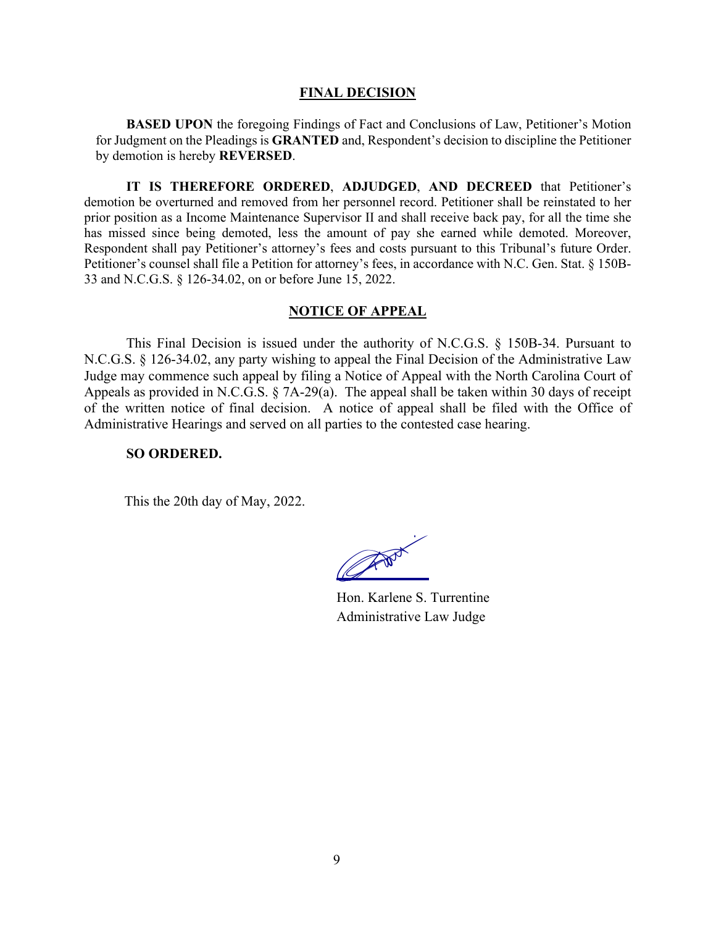#### **FINAL DECISION**

**BASED UPON** the foregoing Findings of Fact and Conclusions of Law, Petitioner's Motion for Judgment on the Pleadings is **GRANTED** and, Respondent's decision to discipline the Petitioner by demotion is hereby **REVERSED**.

**IT IS THEREFORE ORDERED**, **ADJUDGED**, **AND DECREED** that Petitioner's demotion be overturned and removed from her personnel record. Petitioner shall be reinstated to her prior position as a Income Maintenance Supervisor II and shall receive back pay, for all the time she has missed since being demoted, less the amount of pay she earned while demoted. Moreover, Respondent shall pay Petitioner's attorney's fees and costs pursuant to this Tribunal's future Order. Petitioner's counsel shall file a Petition for attorney's fees, in accordance with N.C. Gen. Stat. § 150B-33 and N.C.G.S. § 126-34.02, on or before June 15, 2022.

## **NOTICE OF APPEAL**

This Final Decision is issued under the authority of N.C.G.S. § 150B-34. Pursuant to N.C.G.S. § 126-34.02, any party wishing to appeal the Final Decision of the Administrative Law Judge may commence such appeal by filing a Notice of Appeal with the North Carolina Court of Appeals as provided in N.C.G.S. § 7A-29(a). The appeal shall be taken within 30 days of receipt of the written notice of final decision. A notice of appeal shall be filed with the Office of Administrative Hearings and served on all parties to the contested case hearing.

#### **SO ORDERED.**

This the 20th day of May, 2022.

CANNA COMPANY

Hon. Karlene S. Turrentine Administrative Law Judge